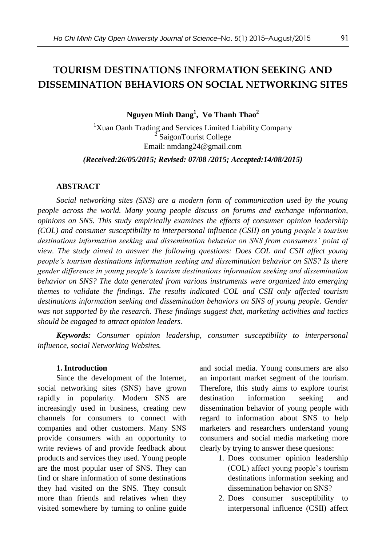# **TOURISM DESTINATIONS INFORMATION SEEKING AND DISSEMINATION BEHAVIORS ON SOCIAL NETWORKING SITES**

**Nguyen Minh Dang<sup>1</sup> , Vo Thanh Thao<sup>2</sup>**

<sup>1</sup>Xuan Oanh Trading and Services Limited Liability Company 2 SaigonTourist College Email: nmdang24@gmail.com

*(Received:26/05/2015; Revised: 07/08 /2015; Accepted:14/08/2015)*

#### **ABSTRACT**

*Social networking sites (SNS) are a modern form of communication used by the young people across the world. Many young people discuss on forums and exchange information, opinions on SNS. This study empirically examines the effects of consumer opinion leadership (COL) and consumer susceptibility to interpersonal influence (CSII) on young people's tourism destinations information seeking and dissemination behavior on SNS from consumers' point of view. The study aimed to answer the following questions: Does COL and CSII affect young people's tourism destinations information seeking and dissemination behavior on SNS? Is there gender difference in young people's tourism destinations information seeking and dissemination behavior on SNS? The data generated from various instruments were organized into emerging themes to validate the findings. The results indicated COL and CSII only affected tourism destinations information seeking and dissemination behaviors on SNS of young people. Gender was not supported by the research. These findings suggest that, marketing activities and tactics should be engaged to attract opinion leaders.*

*Keywords: Consumer opinion leadership, consumer susceptibility to interpersonal influence, social Networking Websites.*

### **1. Introduction**

Since the development of the Internet, social networking sites (SNS) have grown rapidly in popularity. Modern SNS are increasingly used in business, creating new channels for consumers to connect with companies and other customers. Many SNS provide consumers with an opportunity to write reviews of and provide feedback about products and services they used. Young people are the most popular user of SNS. They can find or share information of some destinations they had visited on the SNS. They consult more than friends and relatives when they visited somewhere by turning to online guide and social media. Young consumers are also an important market segment of the tourism. Therefore, this study aims to explore tourist destination information seeking and dissemination behavior of young people with regard to information about SNS to help marketers and researchers understand young consumers and social media marketing more clearly by trying to answer these quesions:

- 1. Does consumer opinion leadership (COL) affect young people's tourism destinations information seeking and dissemination behavior on SNS?
- 2. Does consumer susceptibility to interpersonal influence (CSII) affect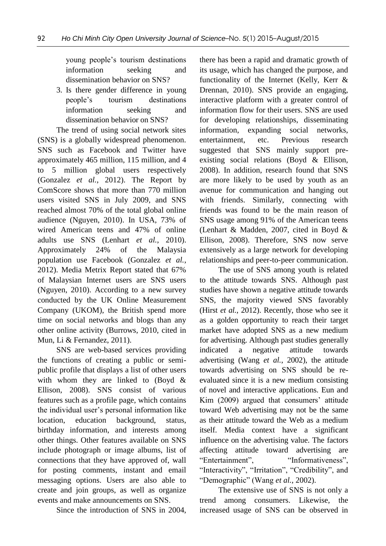young people's tourism destinations information seeking and dissemination behavior on SNS?

3. Is there gender difference in young people's tourism destinations information seeking and dissemination behavior on SNS?

The trend of using social network sites (SNS) is a globally widespread phenomenon. SNS such as Facebook and Twitter have approximately 465 million, 115 million, and 4 to 5 million global users respectively (Gonzalez *et al.*, 2012). The Report by ComScore shows that more than 770 million users visited SNS in July 2009, and SNS reached almost 70% of the total global online audience (Nguyen, 2010). In USA, 73% of wired American teens and 47% of online adults use SNS (Lenhart *et al.*, 2010). Approximately 24% of the Malaysia population use Facebook (Gonzalez *et al.*, 2012). Media Metrix Report stated that 67% of Malaysian Internet users are SNS users (Nguyen, 2010). According to a new survey conducted by the UK Online Measurement Company (UKOM), the British spend more time on social networks and blogs than any other online activity (Burrows, 2010, cited in Mun, Li & Fernandez, 2011).

SNS are web-based services providing the functions of creating a public or semipublic profile that displays a list of other users with whom they are linked to (Boyd & Ellison, 2008). SNS consist of various features such as a profile page, which contains the individual user's personal information like location, education background, status, birthday information, and interests among other things. Other features available on SNS include photograph or image albums, list of connections that they have approved of, wall for posting comments, instant and email messaging options. Users are also able to create and join groups, as well as organize events and make announcements on SNS.

Since the introduction of SNS in 2004,

there has been a rapid and dramatic growth of its usage, which has changed the purpose, and functionality of the Internet (Kelly, Kerr & Drennan, 2010). SNS provide an engaging, interactive platform with a greater control of information flow for their users. SNS are used for developing relationships, disseminating information, expanding social networks, entertainment, etc. Previous research suggested that SNS mainly support preexisting social relations (Boyd & Ellison, 2008). In addition, research found that SNS are more likely to be used by youth as an avenue for communication and hanging out with friends. Similarly, connecting with friends was found to be the main reason of SNS usage among 91% of the American teens (Lenhart & Madden, 2007, cited in Boyd & Ellison, 2008). Therefore, SNS now serve extensively as a large network for developing relationships and peer-to-peer communication.

The use of SNS among youth is related to the attitude towards SNS. Although past studies have shown a negative attitude towards SNS, the majority viewed SNS favorably (Hirst *et al.*, 2012). Recently, those who see it as a golden opportunity to reach their target market have adopted SNS as a new medium for advertising. Although past studies generally indicated a negative attitude towards advertising (Wang *et al.*, 2002), the attitude towards advertising on SNS should be reevaluated since it is a new medium consisting of novel and interactive applications. Eun and Kim (2009) argued that consumers' attitude toward Web advertising may not be the same as their attitude toward the Web as a medium itself. Media context have a significant influence on the advertising value. The factors affecting attitude toward advertising are "Entertainment", "Informativeness", "Interactivity", "Irritation", "Credibility", and "Demographic" (Wang *et al.*, 2002).

The extensive use of SNS is not only a trend among consumers. Likewise, the increased usage of SNS can be observed in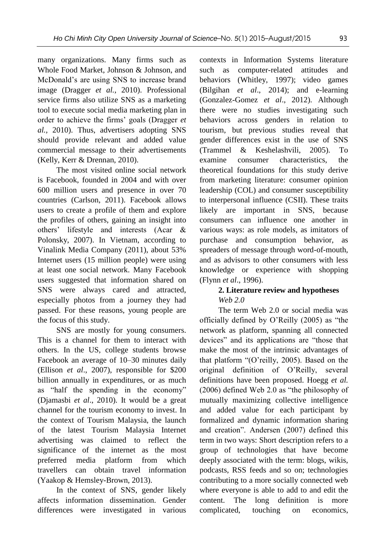many organizations. Many firms such as Whole Food Market, Johnson & Johnson, and McDonald's are using SNS to increase brand image (Dragger *et al.*, 2010). Professional service firms also utilize SNS as a marketing tool to execute social media marketing plan in order to achieve the firms' goals (Dragger *et al.,* 2010). Thus, advertisers adopting SNS should provide relevant and added value commercial message to their advertisements (Kelly, Kerr & Drennan, 2010).

The most visited online social network is Facebook, founded in 2004 and with over 600 million users and presence in over 70 countries (Carlson, 2011). Facebook allows users to create a profile of them and explore the profiles of others, gaining an insight into others' lifestyle and interests (Acar & Polonsky, 2007). In Vietnam, according to Vinalink Media Company (2011), about 53% Internet users (15 million people) were using at least one social network. Many Facebook users suggested that information shared on SNS were always cared and attracted, especially photos from a journey they had passed. For these reasons, young people are the focus of this study.

SNS are mostly for young consumers. This is a channel for them to interact with others. In the US, college students browse Facebook an average of 10–30 minutes daily (Ellison *et al*., 2007), responsible for \$200 billion annually in expenditures, or as much as "half the spending in the economy" (Djamasbi *et al*., 2010). It would be a great channel for the tourism economy to invest. In the context of Tourism Malaysia, the launch of the latest Tourism Malaysia Internet advertising was claimed to reflect the significance of the internet as the most preferred media platform from which travellers can obtain travel information (Yaakop & Hemsley-Brown, 2013).

In the context of SNS, gender likely affects information dissemination. Gender differences were investigated in various

contexts in Information Systems literature such as computer-related attitudes and behaviors (Whitley, 1997); video games (Bilgihan *et al*., 2014); and e-learning (Gonzalez-Gomez *et al*., 2012). Although there were no studies investigating such behaviors across genders in relation to tourism, but previous studies reveal that gender differences exist in the use of SNS (Trammel & Keshelashvili, 2005). To examine consumer characteristics, the theoretical foundations for this study derive from marketing literature: consumer opinion leadership (COL) and consumer susceptibility to interpersonal influence (CSII). These traits likely are important in SNS, because consumers can influence one another in various ways: as role models, as imitators of purchase and consumption behavior, spreaders of message through word-of-mouth, and as advisors to other consumers with less knowledge or experience with shopping (Flynn *et al*., 1996).

# **2. Literature review and hypotheses** *Web 2.0*

The term Web 2.0 or social media was officially defined by O'Reilly (2005) as "the network as platform, spanning all connected devices" and its applications are "those that make the most of the intrinsic advantages of that platform "(O'reilly, 2005). Based on the original definition of O'Reilly, several definitions have been proposed. Hoegg *et al.* (2006) defined Web 2.0 as "the philosophy of mutually maximizing collective intelligence and added value for each participant by formalized and dynamic information sharing and creation". Andersen (2007) defined this term in two ways: Short description refers to a group of technologies that have become deeply associated with the term: blogs, wikis, podcasts, RSS feeds and so on; technologies contributing to a more socially connected web where everyone is able to add to and edit the content. The long definition is more complicated, touching on economics,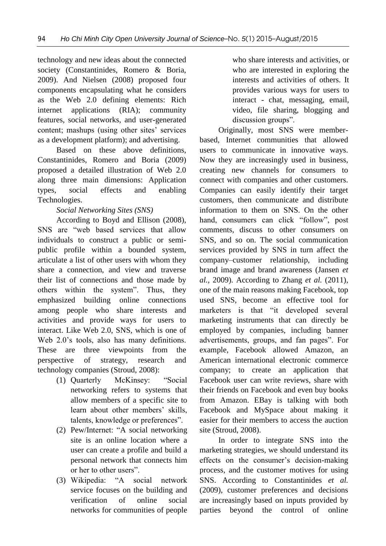technology and new ideas about the connected society (Constantinides, Romero & Boria, 2009). And Nielsen (2008) proposed four components encapsulating what he considers as the Web 2.0 defining elements: Rich internet applications (RIA); community features, social networks, and user-generated content; mashups (using other sites' services as a development platform); and advertising.

Based on these above definitions, Constantinides, Romero and Boria (2009) proposed a detailed illustration of Web 2.0 along three main dimensions: Application types, social effects and enabling Technologies.

# *Social Networking Sites (SNS)*

According to Boyd and Ellison (2008), SNS are "web based services that allow individuals to construct a public or semipublic profile within a bounded system, articulate a list of other users with whom they share a connection, and view and traverse their list of connections and those made by others within the system". Thus, they emphasized building online connections among people who share interests and activities and provide ways for users to interact. Like Web 2.0, SNS, which is one of Web 2.0's tools, also has many definitions. These are three viewpoints from the perspective of strategy, research and technology companies (Stroud, 2008):

- (1) Quarterly McKinsey: "Social networking refers to systems that allow members of a specific site to learn about other members' skills, talents, knowledge or preferences".
- (2) Pew/Internet: "A social networking site is an online location where a user can create a profile and build a personal network that connects him or her to other users".
- (3) Wikipedia: "A social network service focuses on the building and verification of online social networks for communities of people

who share interests and activities, or who are interested in exploring the interests and activities of others. It provides various ways for users to interact - chat, messaging, email, video, file sharing, blogging and discussion groups".

Originally, most SNS were memberbased, Internet communities that allowed users to communicate in innovative ways. Now they are increasingly used in business, creating new channels for consumers to connect with companies and other customers. Companies can easily identify their target customers, then communicate and distribute information to them on SNS. On the other hand, consumers can click "follow", post comments, discuss to other consumers on SNS, and so on. The social communication services provided by SNS in turn affect the company–customer relationship, including brand image and brand awareness (Jansen *et al.,* 2009). According to Zhang *et al.* (2011), one of the main reasons making Facebook, top used SNS, become an effective tool for marketers is that "it developed several marketing instruments that can directly be employed by companies, including banner advertisements, groups, and fan pages". For example, Facebook allowed Amazon, an American international electronic commerce company; to create an application that Facebook user can write reviews, share with their friends on Facebook and even buy books from Amazon. EBay is talking with both Facebook and MySpace about making it easier for their members to access the auction site (Stroud, 2008).

In order to integrate SNS into the marketing strategies, we should understand its effects on the consumer's decision-making process, and the customer motives for using SNS. According to Constantinides *et al.*  (2009), customer preferences and decisions are increasingly based on inputs provided by parties beyond the control of online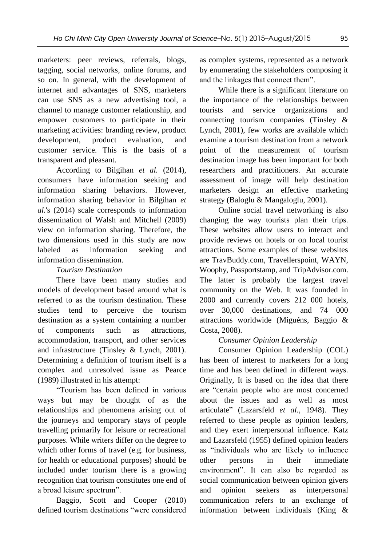marketers: peer reviews, referrals, blogs, tagging, social networks, online forums, and so on. In general, with the development of internet and advantages of SNS, marketers can use SNS as a new advertising tool, a channel to manage customer relationship, and empower customers to participate in their marketing activities: branding review, product development, product evaluation, and customer service. This is the basis of a transparent and pleasant.

According to Bilgihan *et al.* (2014), consumers have information seeking and information sharing behaviors. However, information sharing behavior in Bilgihan *et al.*'s (2014) scale corresponds to information dissemination of Walsh and Mitchell (2009) view on information sharing. Therefore, the two dimensions used in this study are now labeled as information seeking and information dissemination.

## *Tourism Destination*

There have been many studies and models of development based around what is referred to as the tourism destination. These studies tend to perceive the tourism destination as a system containing a number of components such as attractions, accommodation, transport, and other services and infrastructure (Tinsley & Lynch, 2001). Determining a definition of tourism itself is a complex and unresolved issue as Pearce (1989) illustrated in his attempt:

"Tourism has been defined in various ways but may be thought of as the relationships and phenomena arising out of the journeys and temporary stays of people travelling primarily for leisure or recreational purposes. While writers differ on the degree to which other forms of travel (e.g. for business, for health or educational purposes) should be included under tourism there is a growing recognition that tourism constitutes one end of a broad leisure spectrum".

Baggio, Scott and Cooper (2010) defined tourism destinations "were considered as complex systems, represented as a network by enumerating the stakeholders composing it and the linkages that connect them".

While there is a significant literature on the importance of the relationships between tourists and service organizations and connecting tourism companies (Tinsley & Lynch, 2001), few works are available which examine a tourism destination from a network point of the measurement of tourism destination image has been important for both researchers and practitioners. An accurate assessment of image will help destination marketers design an effective marketing strategy (Baloglu & Mangaloglu, 2001).

Online social travel networking is also changing the way tourists plan their trips. These websites allow users to interact and provide reviews on hotels or on local tourist attractions. Some examples of these websites are TravBuddy.com, Travellerspoint, WAYN, Woophy, Passportstamp, and TripAdvisor.com. The latter is probably the largest travel community on the Web. It was founded in 2000 and currently covers 212 000 hotels, over 30,000 destinations, and 74 000 attractions worldwide (Miguéns, Baggio & Costa, 2008).

# *Consumer Opinion Leadership*

Consumer Opinion Leadership (COL) has been of interest to marketers for a long time and has been defined in different ways. Originally, It is based on the idea that there are "certain people who are most concerned about the issues and as well as most articulate" (Lazarsfeld *et al.*, 1948). They referred to these people as opinion leaders, and they exert interpersonal influence. Katz and Lazarsfeld (1955) defined opinion leaders as "individuals who are likely to influence other persons in their immediate environment". It can also be regarded as social communication between opinion givers and opinion seekers as interpersonal communication refers to an exchange of information between individuals (King &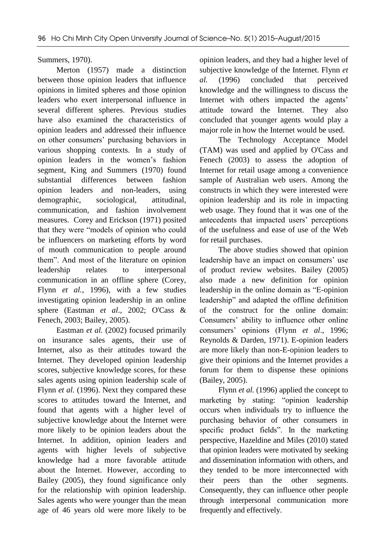Summers, 1970).

Merton (1957) made a distinction between those opinion leaders that influence opinions in limited spheres and those opinion leaders who exert interpersonal influence in several different spheres. Previous studies have also examined the characteristics of opinion leaders and addressed their influence on other consumers' purchasing behaviors in various shopping contexts. In a study of opinion leaders in the women's fashion segment, King and Summers (1970) found substantial differences between fashion opinion leaders and non-leaders, using demographic, sociological, attitudinal, communication, and fashion involvement measures. Corey and Erickson (1971) posited that they were "models of opinion who could be influencers on marketing efforts by word of mouth communication to people around them". And most of the literature on opinion leadership relates to interpersonal communication in an offline sphere (Corey, Flynn *et al.*, 1996), with a few studies investigating opinion leadership in an online sphere (Eastman *et al*., 2002; O'Cass & Fenech, 2003; Bailey, 2005).

Eastman *et al.* (2002) focused primarily on insurance sales agents, their use of Internet, also as their attitudes toward the Internet. They developed opinion leadership scores, subjective knowledge scores, for these sales agents using opinion leadership scale of Flynn *et al.* (1996). Next they compared these scores to attitudes toward the Internet, and found that agents with a higher level of subjective knowledge about the Internet were more likely to be opinion leaders about the Internet. In addition, opinion leaders and agents with higher levels of subjective knowledge had a more favorable attitude about the Internet. However, according to Bailey (2005), they found significance only for the relationship with opinion leadership. Sales agents who were younger than the mean age of 46 years old were more likely to be opinion leaders, and they had a higher level of subjective knowledge of the Internet. Flynn *et al.* (1996) concluded that perceived knowledge and the willingness to discuss the Internet with others impacted the agents' attitude toward the Internet. They also concluded that younger agents would play a major role in how the Internet would be used.

The Technology Acceptance Model (TAM) was used and applied by O'Cass and Fenech (2003) to assess the adoption of Internet for retail usage among a convenience sample of Australian web users. Among the constructs in which they were interested were opinion leadership and its role in impacting web usage. They found that it was one of the antecedents that impacted users' perceptions of the usefulness and ease of use of the Web for retail purchases.

The above studies showed that opinion leadership have an impact on consumers' use of product review websites. Bailey (2005) also made a new definition for opinion leadership in the online domain as "E-opinion leadership" and adapted the offline definition of the construct for the online domain: Consumers' ability to influence other online consumers' opinions (Flynn *et al*., 1996; Reynolds & Darden, 1971). E-opinion leaders are more likely than non-E-opinion leaders to give their opinions and the Internet provides a forum for them to dispense these opinions (Bailey, 2005).

Flynn *et al.* (1996) applied the concept to marketing by stating: "opinion leadership occurs when individuals try to influence the purchasing behavior of other consumers in specific product fields". In the marketing perspective, Hazeldine and Miles (2010) stated that opinion leaders were motivated by seeking and dissemination information with others, and they tended to be more interconnected with their peers than the other segments. Consequently, they can influence other people through interpersonal communication more frequently and effectively.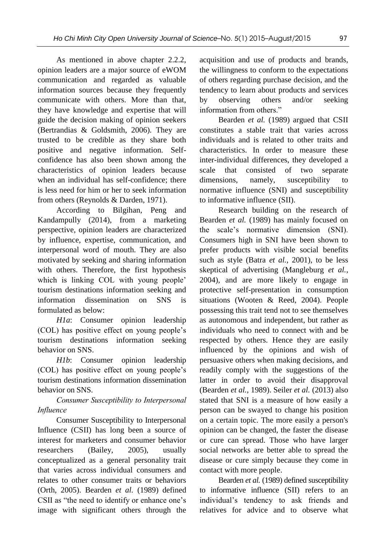As mentioned in above chapter 2.2.2, opinion leaders are a major source of eWOM communication and regarded as valuable information sources because they frequently communicate with others. More than that, they have knowledge and expertise that will guide the decision making of opinion seekers (Bertrandias & Goldsmith, 2006). They are trusted to be credible as they share both positive and negative information. Selfconfidence has also been shown among the characteristics of opinion leaders because when an individual has self-confidence; there is less need for him or her to seek information from others (Reynolds & Darden, 1971).

According to Bilgihan, Peng and Kandampully (2014), from a marketing perspective, opinion leaders are characterized by influence, expertise, communication, and interpersonal word of mouth. They are also motivated by seeking and sharing information with others. Therefore, the first hypothesis which is linking COL with young people' tourism destinations information seeking and information dissemination on SNS is formulated as below:

*H1a*: Consumer opinion leadership (COL) has positive effect on young people's tourism destinations information seeking behavior on SNS.

*H1b*: Consumer opinion leadership (COL) has positive effect on young people's tourism destinations information dissemination behavior on SNS.

# *Consumer Susceptibility to Interpersonal Influence*

Consumer Susceptibility to Interpersonal Influence (CSII) has long been a source of interest for marketers and consumer behavior researchers (Bailey, 2005), usually conceptualized as a general personality trait that varies across individual consumers and relates to other consumer traits or behaviors (Orth, 2005). Bearden *et al.* (1989) defined CSII as "the need to identify or enhance one's image with significant others through the acquisition and use of products and brands, the willingness to conform to the expectations of others regarding purchase decision, and the tendency to learn about products and services by observing others and/or seeking information from others."

Bearden *et al.* (1989) argued that CSII constitutes a stable trait that varies across individuals and is related to other traits and characteristics. In order to measure these inter-individual differences, they developed a scale that consisted of two separate dimensions, namely, susceptibility to normative influence (SNI) and susceptibility to informative influence (SII).

Research building on the research of Bearden *et al.* (1989) has mainly focused on the scale's normative dimension (SNI). Consumers high in SNI have been shown to prefer products with visible social benefits such as style (Batra *et al.*, 2001), to be less skeptical of advertising (Mangleburg *et al.*, 2004), and are more likely to engage in protective self-presentation in consumption situations (Wooten & Reed, 2004). People possessing this trait tend not to see themselves as autonomous and independent, but rather as individuals who need to connect with and be respected by others. Hence they are easily influenced by the opinions and wish of persuasive others when making decisions, and readily comply with the suggestions of the latter in order to avoid their disapproval (Bearden *et al.*, 1989). Seiler *et al.* (2013) also stated that SNI is a measure of how easily a person can be swayed to change his position on a certain topic. The more easily a person's opinion can be changed, the faster the disease or cure can spread. Those who have larger social networks are better able to spread the disease or cure simply because they come in contact with more people.

Bearden *et al.* (1989) defined susceptibility to informative influence (SII) refers to an individual's tendency to ask friends and relatives for advice and to observe what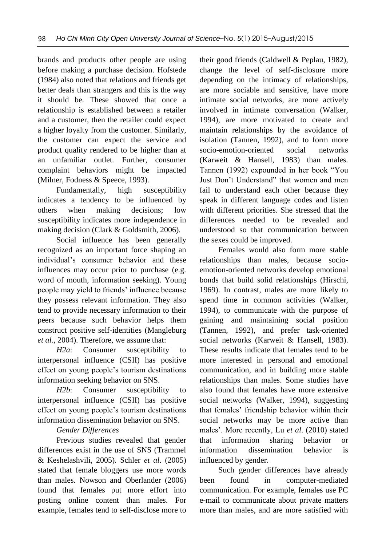brands and products other people are using before making a purchase decision. Hofstede (1984) also noted that relations and friends get better deals than strangers and this is the way it should be. These showed that once a relationship is established between a retailer and a customer, then the retailer could expect a higher loyalty from the customer. Similarly, the customer can expect the service and product quality rendered to be higher than at an unfamiliar outlet. Further, consumer complaint behaviors might be impacted (Milner, Fodness & Speece, 1993).

Fundamentally, high susceptibility indicates a tendency to be influenced by others when making decisions; low susceptibility indicates more independence in making decision (Clark & Goldsmith, 2006).

Social influence has been generally recognized as an important force shaping an individual's consumer behavior and these influences may occur prior to purchase (e.g. word of mouth, information seeking). Young people may yield to friends' influence because they possess relevant information. They also tend to provide necessary information to their peers because such behavior helps them construct positive self-identities (Mangleburg *et al.*, 2004). Therefore, we assume that:

*H2a*: Consumer susceptibility to interpersonal influence (CSII) has positive effect on young people's tourism destinations information seeking behavior on SNS.

*H2b*: Consumer susceptibility to interpersonal influence (CSII) has positive effect on young people's tourism destinations information dissemination behavior on SNS.

# *Gender Differences*

Previous studies revealed that gender differences exist in the use of SNS (Trammel & Keshelashvili, 2005). Schler *et al*. (2005) stated that female bloggers use more words than males. Nowson and Oberlander (2006) found that females put more effort into posting online content than males. For example, females tend to self-disclose more to their good friends (Caldwell & Peplau, 1982), change the level of self-disclosure more depending on the intimacy of relationships, are more sociable and sensitive, have more intimate social networks, are more actively involved in intimate conversation (Walker, 1994), are more motivated to create and maintain relationships by the avoidance of isolation (Tannen, 1992), and to form more socio-emotion-oriented social networks (Karweit & Hansell, 1983) than males. Tannen (1992) expounded in her book "You Just Don't Understand" that women and men fail to understand each other because they speak in different language codes and listen with different priorities. She stressed that the differences needed to be revealed and understood so that communication between the sexes could be improved.

Females would also form more stable relationships than males, because socioemotion-oriented networks develop emotional bonds that build solid relationships (Hirschi, 1969). In contrast, males are more likely to spend time in common activities (Walker, 1994), to communicate with the purpose of gaining and maintaining social position (Tannen, 1992), and prefer task-oriented social networks (Karweit & Hansell, 1983). These results indicate that females tend to be more interested in personal and emotional communication, and in building more stable relationships than males. Some studies have also found that females have more extensive social networks (Walker, 1994), suggesting that females' friendship behavior within their social networks may be more active than males'. More recently, Lu *et al*. (2010) stated that information sharing behavior or information dissemination behavior is influenced by gender.

Such gender differences have already been found in computer-mediated communication. For example, females use PC e-mail to communicate about private matters more than males, and are more satisfied with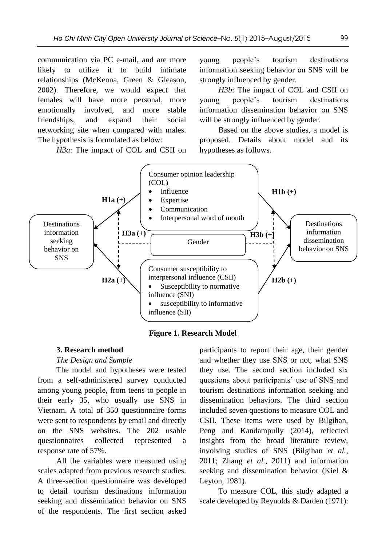communication via PC e-mail, and are more likely to utilize it to build intimate relationships (McKenna, Green & Gleason, 2002). Therefore, we would expect that females will have more personal, more emotionally involved, and more stable friendships, and expand their social networking site when compared with males. The hypothesis is formulated as below:

*H3a*: The impact of COL and CSII on

young people's tourism destinations information seeking behavior on SNS will be strongly influenced by gender.

*H3b*: The impact of COL and CSII on young people's tourism destinations information dissemination behavior on SNS will be strongly influenced by gender.

Based on the above studies, a model is proposed. Details about model and its hypotheses as follows.



**Figure 1. Research Model**

## **3. Research method**

## *The Design and Sample*

The model and hypotheses were tested from a self-administered survey conducted among young people, from teens to people in their early 35, who usually use SNS in Vietnam. A total of 350 questionnaire forms were sent to respondents by email and directly on the SNS websites. The 202 usable questionnaires collected represented a response rate of 57%.

All the variables were measured using scales adapted from previous research studies. A three-section questionnaire was developed to detail tourism destinations information seeking and dissemination behavior on SNS of the respondents. The first section asked participants to report their age, their gender and whether they use SNS or not, what SNS they use. The second section included six questions about participants' use of SNS and tourism destinations information seeking and dissemination behaviors. The third section included seven questions to measure COL and CSII. These items were used by Bilgihan, Peng and Kandampully (2014), reflected insights from the broad literature review, involving studies of SNS (Bilgihan *et al.*, 2011; Zhang *et al.*, 2011) and information seeking and dissemination behavior (Kiel & Leyton, 1981).

To measure COL, this study adapted a scale developed by Reynolds & Darden (1971):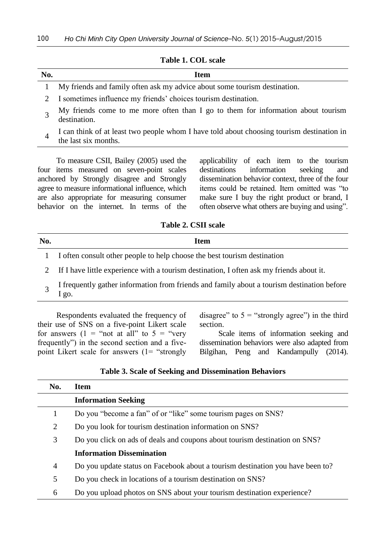#### **Table 1. COL scale**

| No. | <b>Item</b>                                                               |
|-----|---------------------------------------------------------------------------|
|     | My friends and family often ask my advice about some tourism destination. |
|     | I sometimes influence my friends' choices tourism destination.            |
|     |                                                                           |

- 3 My friends come to me more often than I go to them for information about tourism destination.
- 4 I can think of at least two people whom I have told about choosing tourism destination in the last six months.

To measure CSII, Bailey (2005) used the four items measured on seven-point scales anchored by Strongly disagree and Strongly agree to measure informational influence, which are also appropriate for measuring consumer behavior on the internet. In terms of the applicability of each item to the tourism destinations information seeking and dissemination behavior context, three of the four items could be retained. Item omitted was "to make sure I buy the right product or brand, I often observe what others are buying and using".

**Table 2. CSII scale**

| No. | Item                                                                     |
|-----|--------------------------------------------------------------------------|
|     | I often consult other people to help choose the best tourism destination |
|     | .                                                                        |

- 2 If I have little experience with a tourism destination, I often ask my friends about it.
- 3 I frequently gather information from friends and family about a tourism destination before I go.

Respondents evaluated the frequency of their use of SNS on a five-point Likert scale for answers  $(1 = \text{``not at all'' to } 5 = \text{``very}$ frequently") in the second section and a fivepoint Likert scale for answers (1= "strongly disagree" to  $5 =$  "strongly agree") in the third section.

Scale items of information seeking and dissemination behaviors were also adapted from Bilgihan, Peng and Kandampully (2014).

| <b>Table 3. Scale of Seeking and Dissemination Behaviors</b> |  |
|--------------------------------------------------------------|--|
|--------------------------------------------------------------|--|

| No.            | <b>Item</b>                                                                    |  |  |
|----------------|--------------------------------------------------------------------------------|--|--|
|                | <b>Information Seeking</b>                                                     |  |  |
| 1              | Do you "become a fan" of or "like" some tourism pages on SNS?                  |  |  |
| $\overline{2}$ | Do you look for tourism destination information on SNS?                        |  |  |
| 3              | Do you click on ads of deals and coupons about tourism destination on SNS?     |  |  |
|                | <b>Information Dissemination</b>                                               |  |  |
| 4              | Do you update status on Facebook about a tourism destination you have been to? |  |  |
| 5              | Do you check in locations of a tourism destination on SNS?                     |  |  |
| 6              | Do you upload photos on SNS about your tourism destination experience?         |  |  |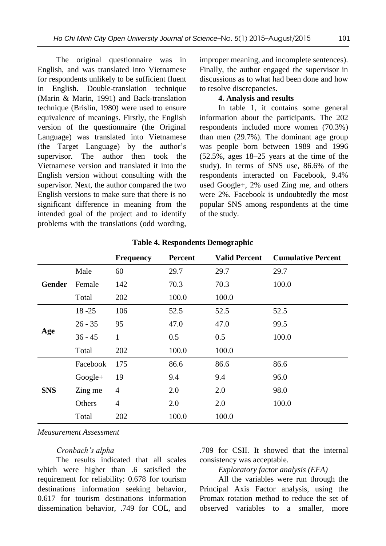The original questionnaire was in English, and was translated into Vietnamese for respondents unlikely to be sufficient fluent in English. Double-translation technique (Marin & Marin, 1991) and Back-translation technique (Brislin, 1980) were used to ensure equivalence of meanings. Firstly, the English version of the questionnaire (the Original Language) was translated into Vietnamese (the Target Language) by the author's supervisor. The author then took the Vietnamese version and translated it into the English version without consulting with the supervisor. Next, the author compared the two English versions to make sure that there is no significant difference in meaning from the intended goal of the project and to identify problems with the translations (odd wording, improper meaning, and incomplete sentences). Finally, the author engaged the supervisor in discussions as to what had been done and how to resolve discrepancies.

## **4. Analysis and results**

In table 1, it contains some general information about the participants. The 202 respondents included more women (70.3%) than men (29.7%). The dominant age group was people born between 1989 and 1996 (52.5%, ages 18–25 years at the time of the study). In terms of SNS use, 86.6% of the respondents interacted on Facebook, 9.4% used Google+, 2% used Zing me, and others were 2%. Facebook is undoubtedly the most popular SNS among respondents at the time of the study.

|               |           | <b>Frequency</b> | <b>Percent</b> | <b>Valid Percent</b> | <b>Cumulative Percent</b> |
|---------------|-----------|------------------|----------------|----------------------|---------------------------|
| <b>Gender</b> | Male      | 60               | 29.7           | 29.7                 | 29.7                      |
|               | Female    | 142              | 70.3           | 70.3                 | 100.0                     |
|               | Total     | 202              | 100.0          | 100.0                |                           |
|               | $18 - 25$ | 106              | 52.5           | 52.5                 | 52.5                      |
|               | $26 - 35$ | 95               | 47.0           | 47.0                 | 99.5                      |
| Age           | $36 - 45$ | 1                | 0.5            | 0.5                  | 100.0                     |
|               | Total     | 202              | 100.0          | 100.0                |                           |
|               | Facebook  | 175              | 86.6           | 86.6                 | 86.6                      |
|               | $Google+$ | 19               | 9.4            | 9.4                  | 96.0                      |
| <b>SNS</b>    | Zing me   | $\overline{4}$   | 2.0            | 2.0                  | 98.0                      |
|               | Others    | $\overline{4}$   | 2.0            | 2.0                  | 100.0                     |
|               | Total     | 202              | 100.0          | 100.0                |                           |

#### **Table 4. Respondents Demographic**

#### *Measurement Assessment*

### *Cronbach's alpha*

The results indicated that all scales which were higher than .6 satisfied the requirement for reliability: 0.678 for tourism destinations information seeking behavior, 0.617 for tourism destinations information dissemination behavior, .749 for COL, and .709 for CSII. It showed that the internal consistency was acceptable.

## *Exploratory factor analysis (EFA)*

All the variables were run through the Principal Axis Factor analysis, using the Promax rotation method to reduce the set of observed variables to a smaller, more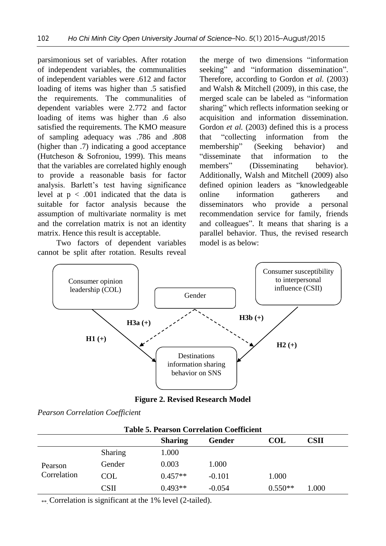parsimonious set of variables. After rotation of independent variables, the communalities of independent variables were .612 and factor loading of items was higher than .5 satisfied the requirements. The communalities of dependent variables were 2.772 and factor loading of items was higher than .6 also satisfied the requirements. The KMO measure of sampling adequacy was .786 and .808 (higher than .7) indicating a good acceptance (Hutcheson & Sofroniou, 1999). This means that the variables are correlated highly enough to provide a reasonable basis for factor analysis. Barlett's test having significance level at  $p < .001$  indicated that the data is suitable for factor analysis because the assumption of multivariate normality is met and the correlation matrix is not an identity matrix. Hence this result is acceptable.

Two factors of dependent variables cannot be split after rotation. Results reveal the merge of two dimensions "information seeking" and "information dissemination". Therefore, according to Gordon *et al.* (2003) and Walsh & Mitchell (2009), in this case, the merged scale can be labeled as "information sharing" which reflects information seeking or acquisition and information dissemination. Gordon *et al.* (2003) defined this is a process that "collecting information from the membership" (Seeking behavior) and "disseminate that information to the members" (Disseminating behavior). Additionally, Walsh and Mitchell (2009) also defined opinion leaders as "knowledgeable online information gatherers and disseminators who provide a personal recommendation service for family, friends and colleagues". It means that sharing is a parallel behavior. Thus, the revised research model is as below:



**Figure 2. Revised Research Model**

|  |  |  | <b>Pearson Correlation Coefficient</b> |  |
|--|--|--|----------------------------------------|--|
|--|--|--|----------------------------------------|--|

| <b>Table 5. Pearson Correlation Coefficient</b> |                |                |          |            |             |  |
|-------------------------------------------------|----------------|----------------|----------|------------|-------------|--|
|                                                 |                | <b>Sharing</b> | Gender   | <b>COL</b> | <b>CSII</b> |  |
|                                                 | <b>Sharing</b> | 1.000          |          |            |             |  |
| Pearson                                         | Gender         | 0.003          | 1.000    |            |             |  |
| Correlation                                     | COL            | $0.457**$      | $-0.101$ | 1.000      |             |  |
|                                                 | CSII           | $0.493**$      | $-0.054$ | $0.550**$  | 1.000       |  |

\*\*\* Correlation is significant at the 1% level (2-tailed).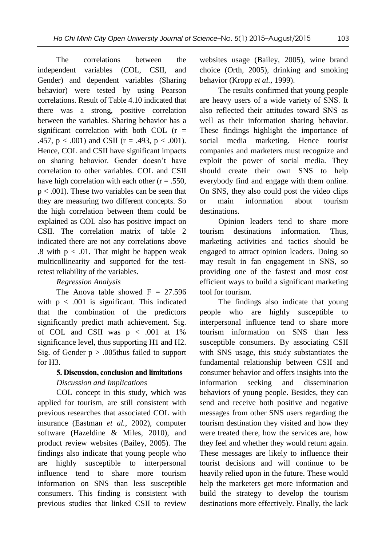The correlations between the independent variables (COL, CSII, and Gender) and dependent variables (Sharing behavior) were tested by using Pearson correlations. Result of Table 4.10 indicated that there was a strong, positive correlation between the variables. Sharing behavior has a significant correlation with both COL  $(r =$ .457,  $p < .001$ ) and CSII ( $r = .493$ ,  $p < .001$ ). Hence, COL and CSII have significant impacts on sharing behavior. Gender doesn't have correlation to other variables. COL and CSII have high correlation with each other  $(r = .550, )$  $p < .001$ ). These two variables can be seen that they are measuring two different concepts. So the high correlation between them could be explained as COL also has positive impact on CSII. The correlation matrix of table 2 indicated there are not any correlations above .8 with  $p < .01$ . That might be happen weak multicollinearity and supported for the testretest reliability of the variables.

## *Regression Analysis*

The Anova table showed  $F = 27.596$ with  $p < .001$  is significant. This indicated that the combination of the predictors significantly predict math achievement. Sig. of COL and CSII was  $p < .001$  at 1% significance level, thus supporting H1 and H2. Sig. of Gender  $p > .005$ thus failed to support for H3.

# **5. Discussion, conclusion and limitations** *Discussion and Implications*

COL concept in this study, which was applied for tourism, are still consistent with previous researches that associated COL with insurance (Eastman *et al.*, 2002), computer software (Hazeldine & Miles, 2010), and product review websites (Bailey, 2005). The findings also indicate that young people who are highly susceptible to interpersonal influence tend to share more tourism information on SNS than less susceptible consumers. This finding is consistent with previous studies that linked CSII to review websites usage (Bailey, 2005), wine brand choice (Orth, 2005), drinking and smoking behavior (Kropp *et al.*, 1999).

The results confirmed that young people are heavy users of a wide variety of SNS. It also reflected their attitudes toward SNS as well as their information sharing behavior. These findings highlight the importance of social media marketing. Hence tourist companies and marketers must recognize and exploit the power of social media. They should create their own SNS to help everybody find and engage with them online. On SNS, they also could post the video clips or main information about tourism destinations.

Opinion leaders tend to share more tourism destinations information. Thus, marketing activities and tactics should be engaged to attract opinion leaders. Doing so may result in fan engagement in SNS, so providing one of the fastest and most cost efficient ways to build a significant marketing tool for tourism.

The findings also indicate that young people who are highly susceptible to interpersonal influence tend to share more tourism information on SNS than less susceptible consumers. By associating CSII with SNS usage, this study substantiates the fundamental relationship between CSII and consumer behavior and offers insights into the information seeking and dissemination behaviors of young people. Besides, they can send and receive both positive and negative messages from other SNS users regarding the tourism destination they visited and how they were treated there, how the services are, how they feel and whether they would return again. These messages are likely to influence their tourist decisions and will continue to be heavily relied upon in the future. These would help the marketers get more information and build the strategy to develop the tourism destinations more effectively. Finally, the lack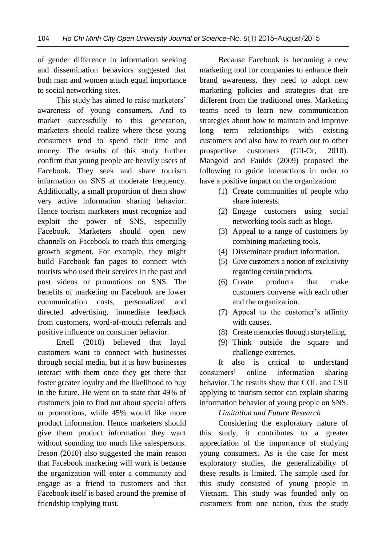of gender difference in information seeking and dissemination behaviors suggested that both man and women attach equal importance to social networking sites.

This study has aimed to raise marketers' awareness of young consumers. And to market successfully to this generation, marketers should realize where these young consumers tend to spend their time and money. The results of this study further confirm that young people are heavily users of Facebook. They seek and share tourism information on SNS at moderate frequency. Additionally, a small proportion of them show very active information sharing behavior. Hence tourism marketers must recognize and exploit the power of SNS, especially Facebook. Marketers should open new channels on Facebook to reach this emerging growth segment. For example, they might build Facebook fan pages to connect with tourists who used their services in the past and post videos or promotions on SNS. The benefits of marketing on Facebook are lower communication costs, personalized and directed advertising, immediate feedback from customers, word-of-mouth referrals and positive influence on consumer behavior.

Ertell (2010) believed that loyal customers want to connect with businesses through social media, but it is how businesses interact with them once they get there that foster greater loyalty and the likelihood to buy in the future. He went on to state that 49% of customers join to find out about special offers or promotions, while 45% would like more product information. Hence marketers should give them product information they want without sounding too much like salespersons. Ireson (2010) also suggested the main reason that Facebook marketing will work is because the organization will enter a community and engage as a friend to customers and that Facebook itself is based around the premise of friendship implying trust.

Because Facebook is becoming a new marketing tool for companies to enhance their brand awareness, they need to adopt new marketing policies and strategies that are different from the traditional ones. Marketing teams need to learn new communication strategies about how to maintain and improve long term relationships with existing customers and also how to reach out to other prospective customers (Gil-Or, 2010). Mangold and Faulds (2009) proposed the following to guide interactions in order to have a positive impact on the organization:

- (1) Create communities of people who share interests.
- (2) Engage customers using social networking tools such as blogs.
- (3) Appeal to a range of customers by combining marketing tools.
- (4) Disseminate product information.
- (5) Give customers a notion of exclusivity regarding certain products.
- (6) Create products that make customers converse with each other and the organization.
- (7) Appeal to the customer's affinity with causes.
- (8) Create memories through storytelling.
- (9) Think outside the square and challenge extremes.

It also is critical to understand consumers' online information sharing behavior. The results show that COL and CSII applying to tourism sector can explain sharing information behavior of young people on SNS.

*Limitation and Future Research*

Considering the exploratory nature of this study, it contributes to a greater appreciation of the importance of studying young consumers. As is the case for most exploratory studies, the generalizability of these results is limited. The sample used for this study consisted of young people in Vietnam. This study was founded only on customers from one nation, thus the study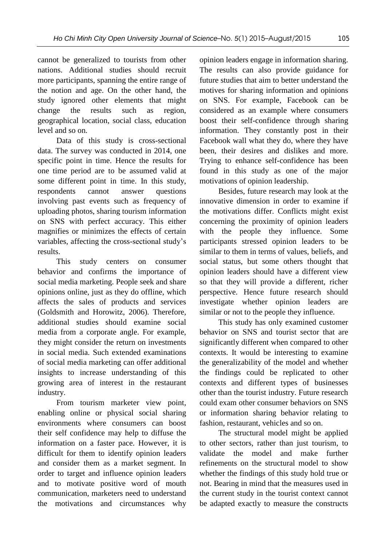cannot be generalized to tourists from other nations. Additional studies should recruit more participants, spanning the entire range of the notion and age. On the other hand, the study ignored other elements that might change the results such as region, geographical location, social class, education level and so on.

Data of this study is cross-sectional data. The survey was conducted in 2014, one specific point in time. Hence the results for one time period are to be assumed valid at some different point in time. In this study, respondents cannot answer questions involving past events such as frequency of uploading photos, sharing tourism information on SNS with perfect accuracy. This either magnifies or minimizes the effects of certain variables, affecting the cross-sectional study's results.

This study centers on consumer behavior and confirms the importance of social media marketing. People seek and share opinions online, just as they do offline, which affects the sales of products and services (Goldsmith and Horowitz, 2006). Therefore, additional studies should examine social media from a corporate angle. For example, they might consider the return on investments in social media. Such extended examinations of social media marketing can offer additional insights to increase understanding of this growing area of interest in the restaurant industry.

From tourism marketer view point, enabling online or physical social sharing environments where consumers can boost their self confidence may help to diffuse the information on a faster pace. However, it is difficult for them to identify opinion leaders and consider them as a market segment. In order to target and influence opinion leaders and to motivate positive word of mouth communication, marketers need to understand the motivations and circumstances why

opinion leaders engage in information sharing. The results can also provide guidance for future studies that aim to better understand the motives for sharing information and opinions on SNS. For example, Facebook can be considered as an example where consumers boost their self-confidence through sharing information. They constantly post in their Facebook wall what they do, where they have been, their desires and dislikes and more. Trying to enhance self-confidence has been found in this study as one of the major motivations of opinion leadership.

Besides, future research may look at the innovative dimension in order to examine if the motivations differ. Conflicts might exist concerning the proximity of opinion leaders with the people they influence. Some participants stressed opinion leaders to be similar to them in terms of values, beliefs, and social status, but some others thought that opinion leaders should have a different view so that they will provide a different, richer perspective. Hence future research should investigate whether opinion leaders are similar or not to the people they influence.

This study has only examined customer behavior on SNS and tourist sector that are significantly different when compared to other contexts. It would be interesting to examine the generalizability of the model and whether the findings could be replicated to other contexts and different types of businesses other than the tourist industry. Future research could exam other consumer behaviors on SNS or information sharing behavior relating to fashion, restaurant, vehicles and so on.

The structural model might be applied to other sectors, rather than just tourism, to validate the model and make further refinements on the structural model to show whether the findings of this study hold true or not. Bearing in mind that the measures used in the current study in the tourist context cannot be adapted exactly to measure the constructs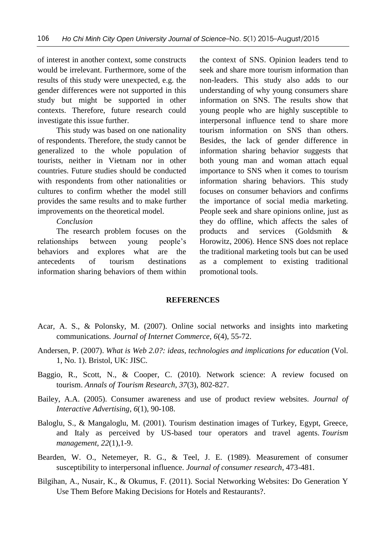of interest in another context, some constructs would be irrelevant. Furthermore, some of the results of this study were unexpected, e.g. the gender differences were not supported in this study but might be supported in other contexts. Therefore, future research could investigate this issue further.

This study was based on one nationality of respondents. Therefore, the study cannot be generalized to the whole population of tourists, neither in Vietnam nor in other countries. Future studies should be conducted with respondents from other nationalities or cultures to confirm whether the model still provides the same results and to make further improvements on the theoretical model.

*Conclusion*

The research problem focuses on the relationships between young people's behaviors and explores what are the antecedents of tourism destinations information sharing behaviors of them within the context of SNS. Opinion leaders tend to seek and share more tourism information than non-leaders. This study also adds to our understanding of why young consumers share information on SNS. The results show that young people who are highly susceptible to interpersonal influence tend to share more tourism information on SNS than others. Besides, the lack of gender difference in information sharing behavior suggests that both young man and woman attach equal importance to SNS when it comes to tourism information sharing behaviors. This study focuses on consumer behaviors and confirms the importance of social media marketing. People seek and share opinions online, just as they do offline, which affects the sales of products and services (Goldsmith & Horowitz, 2006). Hence SNS does not replace the traditional marketing tools but can be used as a complement to existing traditional promotional tools.

## **REFERENCES**

- Acar, A. S., & Polonsky, M. (2007). Online social networks and insights into marketing communications. *Journal of Internet Commerce*, *6*(4), 55-72.
- Andersen, P. (2007). *What is Web 2.0?: ideas, technologies and implications for education* (Vol. 1, No. 1). Bristol, UK: JISC.
- Baggio, R., Scott, N., & Cooper, C. (2010). Network science: A review focused on tourism. *Annals of Tourism Research*, *37*(3), 802-827.
- Bailey, A.A. (2005). Consumer awareness and use of product review websites. *Journal of Interactive Advertising*, *6*(1), 90-108.
- Baloglu, S., & Mangaloglu, M. (2001). Tourism destination images of Turkey, Egypt, Greece, and Italy as perceived by US-based tour operators and travel agents. *Tourism management*, *22*(1),1-9.
- Bearden, W. O., Netemeyer, R. G., & Teel, J. E. (1989). Measurement of consumer susceptibility to interpersonal influence. *Journal of consumer research*, 473-481.
- Bilgihan, A., Nusair, K., & Okumus, F. (2011). Social Networking Websites: Do Generation Y Use Them Before Making Decisions for Hotels and Restaurants?.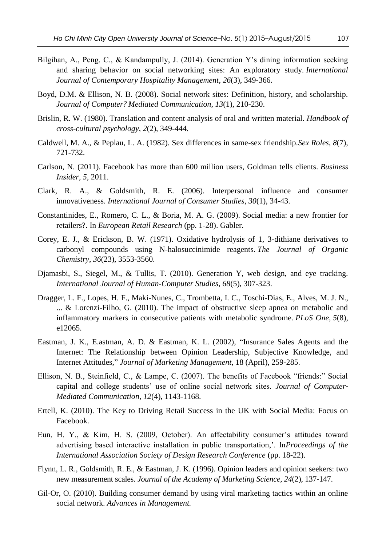- Bilgihan, A., Peng, C., & Kandampully, J. (2014). Generation Y's dining information seeking and sharing behavior on social networking sites: An exploratory study. *International Journal of Contemporary Hospitality Management*, *26*(3), 349-366.
- Boyd, D.M. & Ellison, N. B. (2008). Social network sites: Definition, history, and scholarship. *Journal of Computer? Mediated Communication*, *13*(1), 210-230.
- Brislin, R. W. (1980). Translation and content analysis of oral and written material. *Handbook of cross-cultural psychology*, *2*(2), 349-444.
- Caldwell, M. A., & Peplau, L. A. (1982). Sex differences in same-sex friendship.*Sex Roles*, *8*(7), 721-732.
- Carlson, N. (2011). Facebook has more than 600 million users, Goldman tells clients. *Business Insider*, *5*, 2011.
- Clark, R. A., & Goldsmith, R. E. (2006). Interpersonal influence and consumer innovativeness. *International Journal of Consumer Studies*, *30*(1), 34-43.
- Constantinides, E., Romero, C. L., & Boria, M. A. G. (2009). Social media: a new frontier for retailers?. In *European Retail Research* (pp. 1-28). Gabler.
- Corey, E. J., & Erickson, B. W. (1971). Oxidative hydrolysis of 1, 3-dithiane derivatives to carbonyl compounds using N-halosuccinimide reagents. *The Journal of Organic Chemistry*, *36*(23), 3553-3560.
- Djamasbi, S., Siegel, M., & Tullis, T. (2010). Generation Y, web design, and eye tracking. *International Journal of Human-Computer Studies*, *68*(5), 307-323.
- Dragger, L. F., Lopes, H. F., Maki-Nunes, C., Trombetta, I. C., Toschi-Dias, E., Alves, M. J. N., ... & Lorenzi-Filho, G. (2010). The impact of obstructive sleep apnea on metabolic and inflammatory markers in consecutive patients with metabolic syndrome. *PLoS One*, *5*(8), e12065.
- Eastman, J. K., E.astman, A. D. & Eastman, K. L. (2002), "Insurance Sales Agents and the Internet: The Relationship between Opinion Leadership, Subjective Knowledge, and Internet Attitudes," *Journal of Marketing Management*, 18 (April), 259-285.
- Ellison, N. B., Steinfield, C., & Lampe, C. (2007). The benefits of Facebook "friends:" Social capital and college students' use of online social network sites. *Journal of Computer‐ Mediated Communication*, *12*(4), 1143-1168.
- Ertell, K. (2010). The Key to Driving Retail Success in the UK with Social Media: Focus on Facebook.
- Eun, H. Y., & Kim, H. S. (2009, October). An affectability consumer's attitudes toward advertising based interactive installation in public transportation,'. In*Proceedings of the International Association Society of Design Research Conference* (pp. 18-22).
- Flynn, L. R., Goldsmith, R. E., & Eastman, J. K. (1996). Opinion leaders and opinion seekers: two new measurement scales. *Journal of the Academy of Marketing Science*, *24*(2), 137-147.
- Gil-Or, O. (2010). Building consumer demand by using viral marketing tactics within an online social network. *Advances in Management.*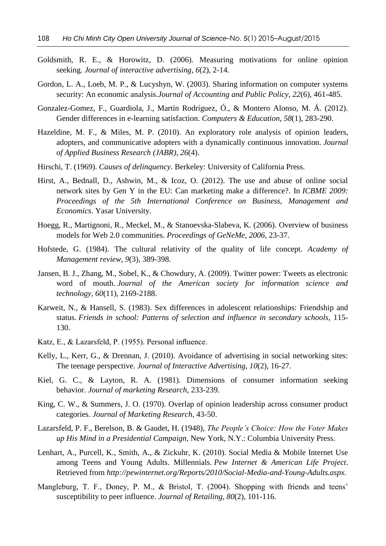- Goldsmith, R. E., & Horowitz, D. (2006). Measuring motivations for online opinion seeking. *Journal of interactive advertising*, *6*(2), 2-14.
- Gordon, L. A., Loeb, M. P., & Lucyshyn, W. (2003). Sharing information on computer systems security: An economic analysis.*Journal of Accounting and Public Policy*, *22*(6), 461-485.
- Gonzalez-Gomez, F., Guardiola, J., Martín Rodríguez, Ó., & Montero Alonso, M. Á. (2012). Gender differences in e-learning satisfaction. *Computers & Education*, *58*(1), 283-290.
- Hazeldine, M. F., & Miles, M. P. (2010). An exploratory role analysis of opinion leaders, adopters, and communicative adopters with a dynamically continuous innovation. *Journal of Applied Business Research (JABR)*, *26*(4).
- Hirschi, T. (1969). *Causes of delinquency*. Berkeley: University of California Press.
- Hirst, A., Bednall, D., Ashwin, M., & Icoz, O. (2012). The use and abuse of online social network sites by Gen Y in the EU: Can marketing make a difference?. In *ICBME 2009: Proceedings of the 5th International Conference on Business, Management and Economics*. Yasar University.
- Hoegg, R., Martignoni, R., Meckel, M., & Stanoevska-Slabeva, K. (2006). Overview of business models for Web 2.0 communities. *Proceedings of GeNeMe*, *2006*, 23-37.
- Hofstede, G. (1984). The cultural relativity of the quality of life concept. *Academy of Management review*, *9*(3), 389-398.
- Jansen, B. J., Zhang, M., Sobel, K., & Chowdury, A. (2009). Twitter power: Tweets as electronic word of mouth. *Journal of the American society for information science and technology*, *60*(11), 2169-2188.
- Karweit, N., & Hansell, S. (1983). Sex differences in adolescent relationships: Friendship and status. *Friends in school: Patterns of selection and influence in secondary schools*, 115- 130.
- Katz, E., & Lazarsfeld, P. (1955). Personal influence.
- Kelly, L., Kerr, G., & Drennan, J. (2010). Avoidance of advertising in social networking sites: The teenage perspective. *Journal of Interactive Advertising*, *10*(2), 16-27.
- Kiel, G. C., & Layton, R. A. (1981). Dimensions of consumer information seeking behavior. *Journal of marketing Research*, 233-239.
- King, C. W., & Summers, J. O. (1970). Overlap of opinion leadership across consumer product categories. *Journal of Marketing Research*, 43-50.
- Lazarsfeld, P. F., Berelson, B. & Gaudet, H. (1948), *The People's Choice: How the Voter Makes up His Mind in a Presidential Campaign*, New York, N.Y.: Columbia University Press.
- Lenhart, A., Purcell, K., Smith, A., & Zickuhr, K. (2010). Social Media & Mobile Internet Use among Teens and Young Adults. Millennials. *Pew Internet & American Life Project*. Retrieved from *http://pewinternet.org/Reports/2010/Social-Media-and-Young-Adults.aspx.*
- Mangleburg, T. F., Doney, P. M., & Bristol, T. (2004). Shopping with friends and teens' susceptibility to peer influence. *Journal of Retailing*, *80*(2), 101-116.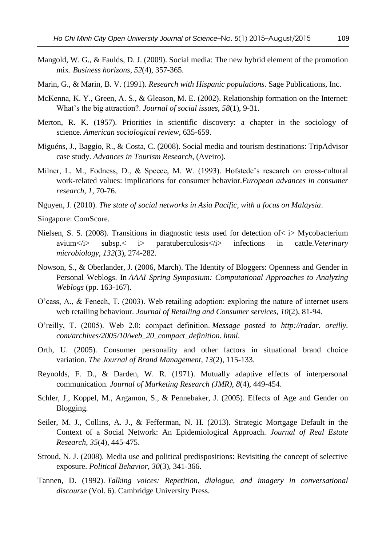- Mangold, W. G., & Faulds, D. J. (2009). Social media: The new hybrid element of the promotion mix. *Business horizons*, *52*(4), 357-365.
- Marin, G., & Marin, B. V. (1991). *Research with Hispanic populations*. Sage Publications, Inc.
- McKenna, K. Y., Green, A. S., & Gleason, M. E. (2002). Relationship formation on the Internet: What's the big attraction?. *Journal of social issues*, *58*(1), 9-31.
- Merton, R. K. (1957). Priorities in scientific discovery: a chapter in the sociology of science. *American sociological review*, 635-659.
- Miguéns, J., Baggio, R., & Costa, C. (2008). Social media and tourism destinations: TripAdvisor case study. *Advances in Tourism Research*, (Aveiro).
- Milner, L. M., Fodness, D., & Speece, M. W. (1993). Hofstede's research on cross-cultural work-related values: implications for consumer behavior.*European advances in consumer research*, *1*, 70-76.
- Nguyen, J. (2010). *The state of social networks in Asia Pacific, with a focus on Malaysia*.
- Singapore: ComScore.
- Nielsen, S. S. (2008). Transitions in diagnostic tests used for detection of< i> Mycobacterium avium</i> subsp.< i> paratuberculosis</i>>infections in cattle. Veterinary *microbiology*, *132*(3), 274-282.
- Nowson, S., & Oberlander, J. (2006, March). The Identity of Bloggers: Openness and Gender in Personal Weblogs. In *AAAI Spring Symposium: Computational Approaches to Analyzing Weblogs* (pp. 163-167).
- O'cass, A., & Fenech, T. (2003). Web retailing adoption: exploring the nature of internet users web retailing behaviour. *Journal of Retailing and Consumer services*, *10*(2), 81-94.
- O'reilly, T. (2005). Web 2.0: compact definition. *Message posted to http://radar. oreilly. com/archives/2005/10/web\_20\_compact\_definition. html*.
- Orth, U. (2005). Consumer personality and other factors in situational brand choice variation. *The Journal of Brand Management*, *13*(2), 115-133.
- Reynolds, F. D., & Darden, W. R. (1971). Mutually adaptive effects of interpersonal communication. *Journal of Marketing Research (JMR)*, *8*(4), 449-454.
- Schler, J., Koppel, M., Argamon, S., & Pennebaker, J. (2005). Effects of Age and Gender on Blogging.
- Seiler, M. J., Collins, A. J., & Fefferman, N. H. (2013). Strategic Mortgage Default in the Context of a Social Network: An Epidemiological Approach. *Journal of Real Estate Research*, *35*(4), 445-475.
- Stroud, N. J. (2008). Media use and political predispositions: Revisiting the concept of selective exposure. *Political Behavior*, *30*(3), 341-366.
- Tannen, D. (1992). *Talking voices: Repetition, dialogue, and imagery in conversational discourse* (Vol. 6). Cambridge University Press.